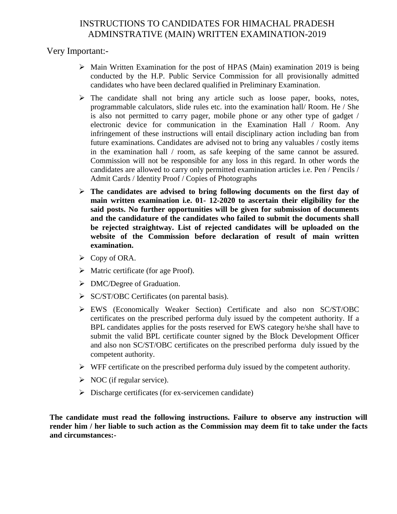## INSTRUCTIONS TO CANDIDATES FOR HIMACHAL PRADESH ADMINSTRATIVE (MAIN) WRITTEN EXAMINATION-2019

Very Important:-

- $\triangleright$  Main Written Examination for the post of HPAS (Main) examination 2019 is being conducted by the H.P. Public Service Commission for all provisionally admitted candidates who have been declared qualified in Preliminary Examination.
- $\triangleright$  The candidate shall not bring any article such as loose paper, books, notes, programmable calculators, slide rules etc. into the examination hall/ Room. He / She is also not permitted to carry pager, mobile phone or any other type of gadget / electronic device for communication in the Examination Hall / Room. Any infringement of these instructions will entail disciplinary action including ban from future examinations. Candidates are advised not to bring any valuables / costly items in the examination hall / room, as safe keeping of the same cannot be assured. Commission will not be responsible for any loss in this regard. In other words the candidates are allowed to carry only permitted examination articles i.e. Pen / Pencils / Admit Cards / Identity Proof / Copies of Photographs
- **The candidates are advised to bring following documents on the first day of main written examination i.e. 01- 12-2020 to ascertain their eligibility for the said posts. No further opportunities will be given for submission of documents and the candidature of the candidates who failed to submit the documents shall be rejected straightway. List of rejected candidates will be uploaded on the website of the Commission before declaration of result of main written examination.**
- $\triangleright$  Copy of ORA.
- $\triangleright$  Matric certificate (for age Proof).
- > DMC/Degree of Graduation.
- $\triangleright$  SC/ST/OBC Certificates (on parental basis).
- EWS (Economically Weaker Section) Certificate and also non SC/ST/OBC certificates on the prescribed performa duly issued by the competent authority. If a BPL candidates applies for the posts reserved for EWS category he/she shall have to submit the valid BPL certificate counter signed by the Block Development Officer and also non SC/ST/OBC certificates on the prescribed performa duly issued by the competent authority.
- $\triangleright$  WFF certificate on the prescribed performa duly issued by the competent authority.
- $\triangleright$  NOC (if regular service).
- $\triangleright$  Discharge certificates (for ex-servicemen candidate)

**The candidate must read the following instructions. Failure to observe any instruction will render him / her liable to such action as the Commission may deem fit to take under the facts and circumstances:-**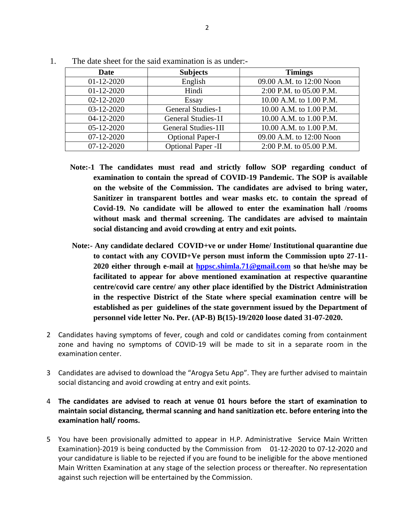| <b>Date</b>  | <b>Subjects</b>           | <b>Timings</b>           |
|--------------|---------------------------|--------------------------|
| $01-12-2020$ | English                   | 09.00 A.M. to 12:00 Noon |
| $01-12-2020$ | Hindi                     | 2:00 P.M. to 05.00 P.M.  |
| 02-12-2020   | Essay                     | 10.00 A.M. to 1.00 P.M.  |
| 03-12-2020   | <b>General Studies-1</b>  | 10.00 A.M. to 1.00 P.M.  |
| 04-12-2020   | General Studies-1I        | 10.00 A.M. to 1.00 P.M.  |
| 05-12-2020   | General Studies-1II       | 10.00 A.M. to 1.00 P.M.  |
| 07-12-2020   | <b>Optional Paper-I</b>   | 09.00 A.M. to 12:00 Noon |
| 07-12-2020   | <b>Optional Paper -II</b> | 2:00 P.M. to 05.00 P.M.  |

1. The date sheet for the said examination is as under:-

- **Note:-1 The candidates must read and strictly follow SOP regarding conduct of examination to contain the spread of COVID-19 Pandemic. The SOP is available on the website of the Commission. The candidates are advised to bring water, Sanitizer in transparent bottles and wear masks etc. to contain the spread of Covid-19. No candidate will be allowed to enter the examination hall /rooms without mask and thermal screening. The candidates are advised to maintain social distancing and avoid crowding at entry and exit points.**
- **Note:- Any candidate declared COVID+ve or under Home/ Institutional quarantine due to contact with any COVID+Ve person must inform the Commission upto 27-11- 2020 either through e-mail at [hppsc.shimla.71@gmail.com](mailto:hppsc.shimla.71@gmail.com) so that he/she may be facilitated to appear for above mentioned examination at respective quarantine centre/covid care centre/ any other place identified by the District Administration in the respective District of the State where special examination centre will be established as per guidelines of the state government issued by the Department of personnel vide letter No. Per. (AP-B) B(15)-19/2020 loose dated 31-07-2020.**
- 2 Candidates having symptoms of fever, cough and cold or candidates coming from containment zone and having no symptoms of COVID-19 will be made to sit in a separate room in the examination center.
- 3 Candidates are advised to download the "Arogya Setu App". They are further advised to maintain social distancing and avoid crowding at entry and exit points.
- 4 **The candidates are advised to reach at venue 01 hours before the start of examination to maintain social distancing, thermal scanning and hand sanitization etc. before entering into the examination hall/ rooms.**
- 5 You have been provisionally admitted to appear in H.P. Administrative Service Main Written Examination)-2019 is being conducted by the Commission from 01-12-2020 to 07-12-2020 and your candidature is liable to be rejected if you are found to be ineligible for the above mentioned Main Written Examination at any stage of the selection process or thereafter. No representation against such rejection will be entertained by the Commission.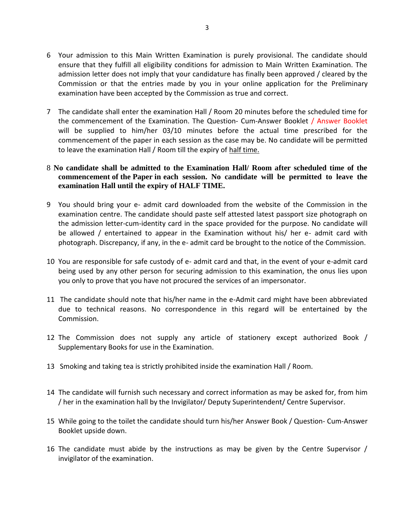- 6 Your admission to this Main Written Examination is purely provisional. The candidate should ensure that they fulfill all eligibility conditions for admission to Main Written Examination. The admission letter does not imply that your candidature has finally been approved / cleared by the Commission or that the entries made by you in your online application for the Preliminary examination have been accepted by the Commission as true and correct.
- 7 The candidate shall enter the examination Hall / Room 20 minutes before the scheduled time for the commencement of the Examination. The Question- Cum-Answer Booklet / Answer Booklet will be supplied to him/her 03/10 minutes before the actual time prescribed for the commencement of the paper in each session as the case may be. No candidate will be permitted to leave the examination Hall / Room till the expiry of half time.
- 8 **No candidate shall be admitted to the Examination Hall/ Room after scheduled time of the commencement of the Paper in each session. No candidate will be permitted to leave the examination Hall until the expiry of HALF TIME.**
- 9 You should bring your e- admit card downloaded from the website of the Commission in the examination centre. The candidate should paste self attested latest passport size photograph on the admission letter-cum-identity card in the space provided for the purpose. No candidate will be allowed / entertained to appear in the Examination without his/ her e- admit card with photograph. Discrepancy, if any, in the e- admit card be brought to the notice of the Commission.
- 10 You are responsible for safe custody of e- admit card and that, in the event of your e-admit card being used by any other person for securing admission to this examination, the onus lies upon you only to prove that you have not procured the services of an impersonator.
- 11 The candidate should note that his/her name in the e-Admit card might have been abbreviated due to technical reasons. No correspondence in this regard will be entertained by the Commission.
- 12 The Commission does not supply any article of stationery except authorized Book / Supplementary Books for use in the Examination.
- 13 Smoking and taking tea is strictly prohibited inside the examination Hall / Room.
- 14 The candidate will furnish such necessary and correct information as may be asked for, from him / her in the examination hall by the Invigilator/ Deputy Superintendent/ Centre Supervisor.
- 15 While going to the toilet the candidate should turn his/her Answer Book / Question- Cum-Answer Booklet upside down.
- 16 The candidate must abide by the instructions as may be given by the Centre Supervisor / invigilator of the examination.